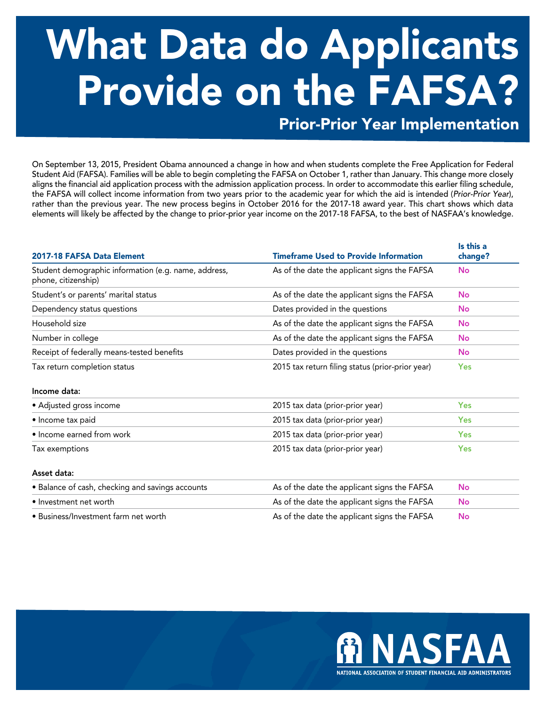## What Data do Applicants Provide on the FAFSA?

Prior-Prior Year Implementation

On September 13, 2015, President Obama announced a change in how and when students complete the Free Application for Federal Student Aid (FAFSA). Families will be able to begin completing the FAFSA on October 1, rather than January. This change more closely aligns the financial aid application process with the admission application process. In order to accommodate this earlier filing schedule, the FAFSA will collect income information from two years prior to the academic year for which the aid is intended (*Prior-Prior Year*), rather than the previous year. The new process begins in October 2016 for the 2017-18 award year. This chart shows which data elements will likely be affected by the change to prior-prior year income on the 2017-18 FAFSA, to the best of NASFAA's knowledge.

| 2017-18 FAFSA Data Element                                                  | <b>Timeframe Used to Provide Information</b>     | Is this a<br>change? |
|-----------------------------------------------------------------------------|--------------------------------------------------|----------------------|
| Student demographic information (e.g. name, address,<br>phone, citizenship) | As of the date the applicant signs the FAFSA     | <b>No</b>            |
| Student's or parents' marital status                                        | As of the date the applicant signs the FAFSA     | <b>No</b>            |
| Dependency status questions                                                 | Dates provided in the questions                  | <b>No</b>            |
| Household size                                                              | As of the date the applicant signs the FAFSA     | <b>No</b>            |
| Number in college                                                           | As of the date the applicant signs the FAFSA     | <b>No</b>            |
| Receipt of federally means-tested benefits                                  | Dates provided in the questions                  | <b>No</b>            |
| Tax return completion status                                                | 2015 tax return filing status (prior-prior year) | <b>Yes</b>           |
| Income data:                                                                |                                                  |                      |
| • Adjusted gross income                                                     | 2015 tax data (prior-prior year)                 | <b>Yes</b>           |
| · Income tax paid                                                           | 2015 tax data (prior-prior year)                 | <b>Yes</b>           |
| • Income earned from work                                                   | 2015 tax data (prior-prior year)                 | <b>Yes</b>           |
| Tax exemptions                                                              | 2015 tax data (prior-prior year)                 | <b>Yes</b>           |
| Asset data:                                                                 |                                                  |                      |
| • Balance of cash, checking and savings accounts                            | As of the date the applicant signs the FAFSA     | <b>No</b>            |
| • Investment net worth                                                      | As of the date the applicant signs the FAFSA     | <b>No</b>            |
| · Business/Investment farm net worth                                        | As of the date the applicant signs the FAFSA     | <b>No</b>            |